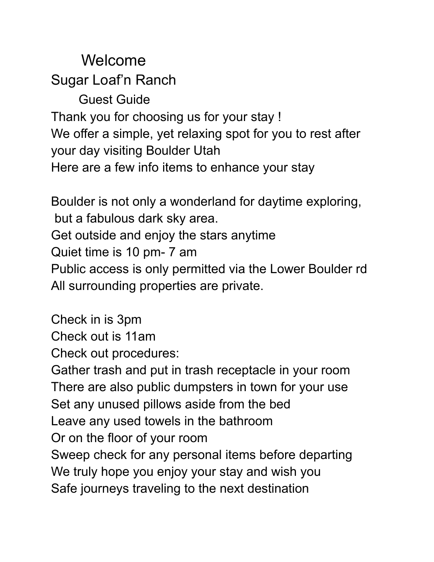Welcome Sugar Loaf'n Ranch Guest Guide Thank you for choosing us for your stay ! We offer a simple, yet relaxing spot for you to rest after your day visiting Boulder Utah Here are a few info items to enhance your stay

Boulder is not only a wonderland for daytime exploring, but a fabulous dark sky area. Get outside and enjoy the stars anytime Quiet time is 10 pm- 7 am Public access is only permitted via the Lower Boulder rd All surrounding properties are private.

Check in is 3pm Check out is 11am

Check out procedures:

Gather trash and put in trash receptacle in your room There are also public dumpsters in town for your use Set any unused pillows aside from the bed Leave any used towels in the bathroom Or on the floor of your room Sweep check for any personal items before departing We truly hope you enjoy your stay and wish you Safe journeys traveling to the next destination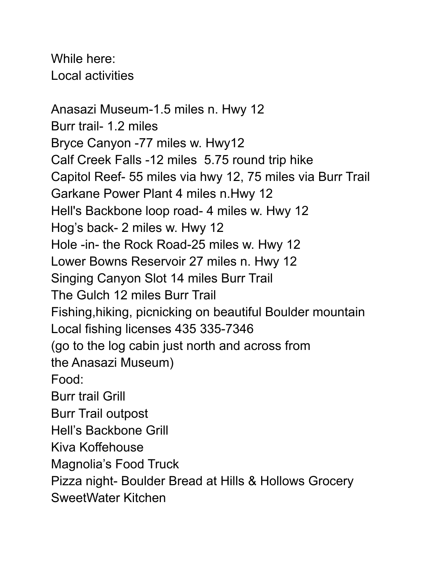While here: Local activities

Anasazi Museum-1.5 miles n. Hwy 12 Burr trail- 1.2 miles Bryce Canyon -77 miles w. Hwy12 Calf Creek Falls -12 miles 5.75 round trip hike Capitol Reef- 55 miles via hwy 12, 75 miles via Burr Trail Garkane Power Plant 4 miles n.Hwy 12 Hell's Backbone loop road- 4 miles w. Hwy 12 Hog's back- 2 miles w. Hwy 12 Hole -in- the Rock Road-25 miles w. Hwy 12 Lower Bowns Reservoir 27 miles n. Hwy 12 Singing Canyon Slot 14 miles Burr Trail The Gulch 12 miles Burr Trail Fishing,hiking, picnicking on beautiful Boulder mountain Local fishing licenses 435 335-7346 (go to the log cabin just north and across from the Anasazi Museum) Food: Burr trail Grill Burr Trail outpost Hell's Backbone Grill Kiva Koffehouse Magnolia's Food Truck Pizza night- Boulder Bread at Hills & Hollows Grocery SweetWater Kitchen